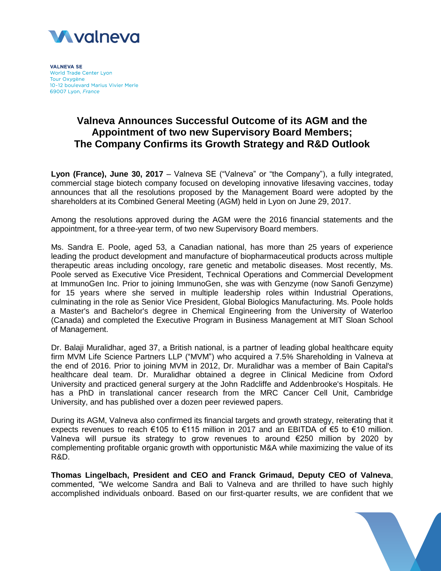

**VALNEVA SE** World Trade Center Lyon Tour Oxygène 10-12 boulevard Marius Vivier Merle 69007 Lyon, France

## **Valneva Announces Successful Outcome of its AGM and the Appointment of two new Supervisory Board Members; The Company Confirms its Growth Strategy and R&D Outlook**

**Lyon (France), June 30, 2017** – Valneva SE ("Valneva" or "the Company"), a fully integrated, commercial stage biotech company focused on developing innovative lifesaving vaccines, today announces that all the resolutions proposed by the Management Board were adopted by the shareholders at its Combined General Meeting (AGM) held in Lyon on June 29, 2017.

Among the resolutions approved during the AGM were the 2016 financial statements and the appointment, for a three-year term, of two new Supervisory Board members.

Ms. Sandra E. Poole, aged 53, a Canadian national, has more than 25 years of experience leading the product development and manufacture of biopharmaceutical products across multiple therapeutic areas including oncology, rare genetic and metabolic diseases. Most recently, Ms. Poole served as Executive Vice President, Technical Operations and Commercial Development at ImmunoGen Inc. Prior to joining ImmunoGen, she was with Genzyme (now Sanofi Genzyme) for 15 years where she served in multiple leadership roles within Industrial Operations, culminating in the role as Senior Vice President, Global Biologics Manufacturing. Ms. Poole holds a Master's and Bachelor's degree in Chemical Engineering from the University of Waterloo (Canada) and completed the Executive Program in Business Management at MIT Sloan School of Management.

Dr. Balaji Muralidhar, aged 37, a British national, is a partner of leading global healthcare equity firm MVM Life Science Partners LLP ("MVM") who acquired a 7.5% Shareholding in Valneva at the end of 2016. Prior to joining MVM in 2012, Dr. Muralidhar was a member of Bain Capital's healthcare deal team. Dr. Muralidhar obtained a degree in Clinical Medicine from Oxford University and practiced general surgery at the John Radcliffe and Addenbrooke's Hospitals. He has a PhD in translational cancer research from the MRC Cancer Cell Unit, Cambridge University, and has published over a dozen peer reviewed papers.

During its AGM, Valneva also confirmed its financial targets and growth strategy, reiterating that it expects revenues to reach €105 to €115 million in 2017 and an EBITDA of €5 to €10 million. Valneva will pursue its strategy to grow revenues to around €250 million by 2020 by complementing profitable organic growth with opportunistic M&A while maximizing the value of its R&D.

**Thomas Lingelbach, President and CEO and Franck Grimaud, Deputy CEO of Valneva**, commented, "We welcome Sandra and Bali to Valneva and are thrilled to have such highly accomplished individuals onboard. Based on our first-quarter results, we are confident that we

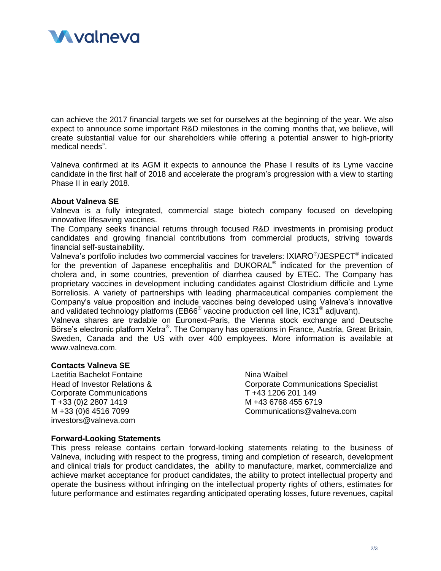

can achieve the 2017 financial targets we set for ourselves at the beginning of the year. We also expect to announce some important R&D milestones in the coming months that, we believe, will create substantial value for our shareholders while offering a potential answer to high-priority medical needs".

Valneva confirmed at its AGM it expects to announce the Phase I results of its Lyme vaccine candidate in the first half of 2018 and accelerate the program's progression with a view to starting Phase II in early 2018.

## **About Valneva SE**

Valneva is a fully integrated, commercial stage biotech company focused on developing innovative lifesaving vaccines.

The Company seeks financial returns through focused R&D investments in promising product candidates and growing financial contributions from commercial products, striving towards financial self-sustainability.

Valneva's portfolio includes two commercial vaccines for travelers: IXIARO®/JESPECT® indicated for the prevention of Japanese encephalitis and DUKORAL<sup>®</sup> indicated for the prevention of cholera and, in some countries, prevention of diarrhea caused by ETEC. The Company has proprietary vaccines in development including candidates against Clostridium difficile and Lyme Borreliosis. A variety of partnerships with leading pharmaceutical companies complement the Company's value proposition and include vaccines being developed using Valneva's innovative and validated technology platforms (EB66<sup>®</sup> vaccine production cell line, IC31<sup>®</sup> adjuvant).

Valneva shares are tradable on Euronext-Paris, the Vienna stock exchange and Deutsche Börse's electronic platform Xetra®. The Company has operations in France, Austria, Great Britain, Sweden, Canada and the US with over 400 employees. More information is available at www.valneva.com.

## **Contacts Valneva SE**

Laetitia Bachelot Fontaine Head of Investor Relations & Corporate Communications T +33 (0)2 2807 1419 M +33 (0)6 4516 7099 investors@valneva.com

Nina Waibel Corporate Communications Specialist T +43 1206 201 149 M +43 6768 455 6719 Communications@valneva.com

## **Forward-Looking Statements**

This press release contains certain forward-looking statements relating to the business of Valneva, including with respect to the progress, timing and completion of research, development and clinical trials for product candidates, the ability to manufacture, market, commercialize and achieve market acceptance for product candidates, the ability to protect intellectual property and operate the business without infringing on the intellectual property rights of others, estimates for future performance and estimates regarding anticipated operating losses, future revenues, capital